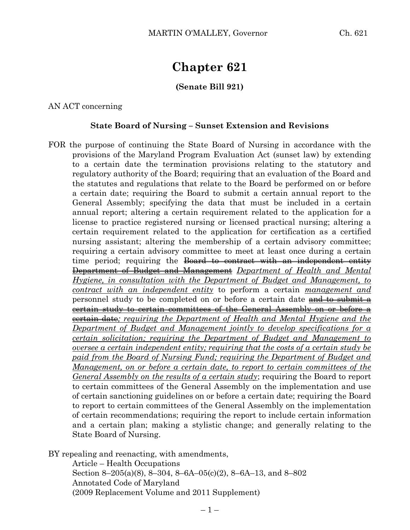# **Chapter 621**

### **(Senate Bill 921)**

AN ACT concerning

#### **State Board of Nursing – Sunset Extension and Revisions**

FOR the purpose of continuing the State Board of Nursing in accordance with the provisions of the Maryland Program Evaluation Act (sunset law) by extending to a certain date the termination provisions relating to the statutory and regulatory authority of the Board; requiring that an evaluation of the Board and the statutes and regulations that relate to the Board be performed on or before a certain date; requiring the Board to submit a certain annual report to the General Assembly; specifying the data that must be included in a certain annual report; altering a certain requirement related to the application for a license to practice registered nursing or licensed practical nursing; altering a certain requirement related to the application for certification as a certified nursing assistant; altering the membership of a certain advisory committee; requiring a certain advisory committee to meet at least once during a certain time period; requiring the Board to contract with an independent entity Department of Budget and Management *Department of Health and Mental Hygiene, in consultation with the Department of Budget and Management, to contract with an independent entity* to perform a certain *management and* personnel study to be completed on or before a certain date and to submit a certain study to certain committees of the General Assembly on or before a certain date*; requiring the Department of Health and Mental Hygiene and the Department of Budget and Management jointly to develop specifications for a certain solicitation; requiring the Department of Budget and Management to oversee a certain independent entity; requiring that the costs of a certain study be paid from the Board of Nursing Fund; requiring the Department of Budget and Management, on or before a certain date, to report to certain committees of the General Assembly on the results of a certain study*; requiring the Board to report to certain committees of the General Assembly on the implementation and use of certain sanctioning guidelines on or before a certain date; requiring the Board to report to certain committees of the General Assembly on the implementation of certain recommendations; requiring the report to include certain information and a certain plan; making a stylistic change; and generally relating to the State Board of Nursing.

BY repealing and reenacting, with amendments, Article – Health Occupations Section 8–205(a)(8), 8–304, 8–6A–05(c)(2), 8–6A–13, and 8–802 Annotated Code of Maryland (2009 Replacement Volume and 2011 Supplement)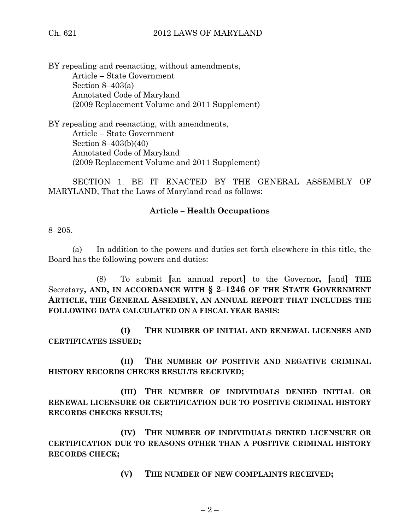BY repealing and reenacting, without amendments, Article – State Government Section 8–403(a) Annotated Code of Maryland (2009 Replacement Volume and 2011 Supplement)

BY repealing and reenacting, with amendments, Article – State Government Section 8–403(b)(40) Annotated Code of Maryland (2009 Replacement Volume and 2011 Supplement)

SECTION 1. BE IT ENACTED BY THE GENERAL ASSEMBLY OF MARYLAND, That the Laws of Maryland read as follows:

# **Article – Health Occupations**

8–205.

(a) In addition to the powers and duties set forth elsewhere in this title, the Board has the following powers and duties:

(8) To submit **[**an annual report**]** to the Governor**, [**and**] THE** Secretary**, AND, IN ACCORDANCE WITH § 2–1246 OF THE STATE GOVERNMENT ARTICLE, THE GENERAL ASSEMBLY, AN ANNUAL REPORT THAT INCLUDES THE FOLLOWING DATA CALCULATED ON A FISCAL YEAR BASIS:**

**(I) THE NUMBER OF INITIAL AND RENEWAL LICENSES AND CERTIFICATES ISSUED;**

**(II) THE NUMBER OF POSITIVE AND NEGATIVE CRIMINAL HISTORY RECORDS CHECKS RESULTS RECEIVED;**

**(III) THE NUMBER OF INDIVIDUALS DENIED INITIAL OR RENEWAL LICENSURE OR CERTIFICATION DUE TO POSITIVE CRIMINAL HISTORY RECORDS CHECKS RESULTS;**

**(IV) THE NUMBER OF INDIVIDUALS DENIED LICENSURE OR CERTIFICATION DUE TO REASONS OTHER THAN A POSITIVE CRIMINAL HISTORY RECORDS CHECK;**

**(V) THE NUMBER OF NEW COMPLAINTS RECEIVED;**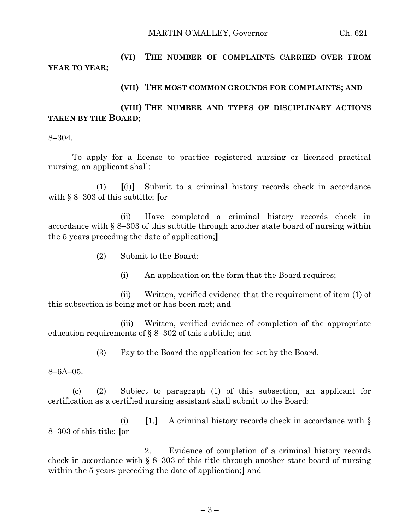MARTIN O'MALLEY, Governor Ch. 621

# **(VI) THE NUMBER OF COMPLAINTS CARRIED OVER FROM YEAR TO YEAR;**

#### **(VII) THE MOST COMMON GROUNDS FOR COMPLAINTS; AND**

## **(VIII) THE NUMBER AND TYPES OF DISCIPLINARY ACTIONS TAKEN BY THE BOARD**;

8–304.

To apply for a license to practice registered nursing or licensed practical nursing, an applicant shall:

(1) **[**(i)**]** Submit to a criminal history records check in accordance with § 8–303 of this subtitle; **[**or

(ii) Have completed a criminal history records check in accordance with § 8–303 of this subtitle through another state board of nursing within the 5 years preceding the date of application;**]**

- (2) Submit to the Board:
	- (i) An application on the form that the Board requires;

(ii) Written, verified evidence that the requirement of item (1) of this subsection is being met or has been met; and

(iii) Written, verified evidence of completion of the appropriate education requirements of § 8–302 of this subtitle; and

(3) Pay to the Board the application fee set by the Board.

8–6A–05.

(c) (2) Subject to paragraph (1) of this subsection, an applicant for certification as a certified nursing assistant shall submit to the Board:

(i) **[**1.**]** A criminal history records check in accordance with § 8–303 of this title; **[**or

2. Evidence of completion of a criminal history records check in accordance with § 8–303 of this title through another state board of nursing within the 5 years preceding the date of application;**]** and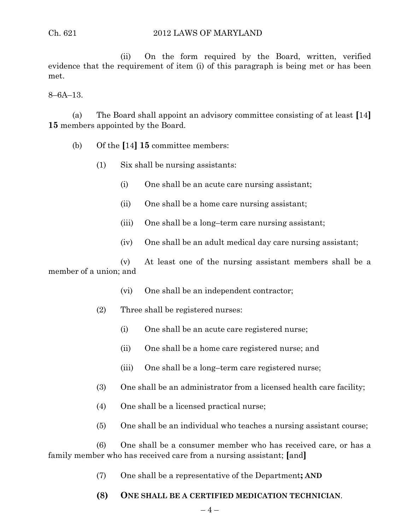(ii) On the form required by the Board, written, verified evidence that the requirement of item (i) of this paragraph is being met or has been met.

8–6A–13.

(a) The Board shall appoint an advisory committee consisting of at least **[**14**] 15** members appointed by the Board.

- (b) Of the **[**14**] 15** committee members:
	- (1) Six shall be nursing assistants:
		- (i) One shall be an acute care nursing assistant;
		- (ii) One shall be a home care nursing assistant;
		- (iii) One shall be a long–term care nursing assistant;
		- (iv) One shall be an adult medical day care nursing assistant;

(v) At least one of the nursing assistant members shall be a member of a union; and

- (vi) One shall be an independent contractor;
- (2) Three shall be registered nurses:
	- (i) One shall be an acute care registered nurse;
	- (ii) One shall be a home care registered nurse; and
	- (iii) One shall be a long–term care registered nurse;
- (3) One shall be an administrator from a licensed health care facility;
- (4) One shall be a licensed practical nurse;
- (5) One shall be an individual who teaches a nursing assistant course;

(6) One shall be a consumer member who has received care, or has a family member who has received care from a nursing assistant; **[**and**]**

(7) One shall be a representative of the Department**; AND**

# **(8) ONE SHALL BE A CERTIFIED MEDICATION TECHNICIAN**.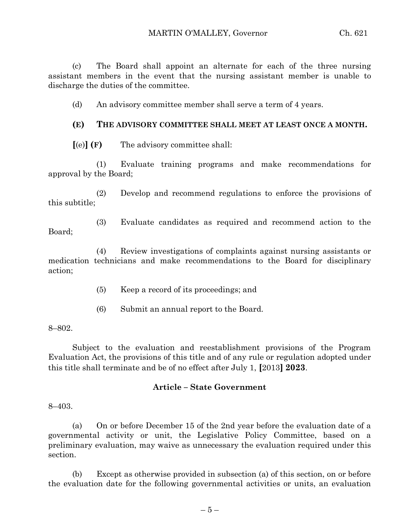(c) The Board shall appoint an alternate for each of the three nursing assistant members in the event that the nursing assistant member is unable to discharge the duties of the committee.

(d) An advisory committee member shall serve a term of 4 years.

## **(E) THE ADVISORY COMMITTEE SHALL MEET AT LEAST ONCE A MONTH.**

**[**(e)**] (F)** The advisory committee shall:

(1) Evaluate training programs and make recommendations for approval by the Board;

(2) Develop and recommend regulations to enforce the provisions of this subtitle;

(3) Evaluate candidates as required and recommend action to the Board;

(4) Review investigations of complaints against nursing assistants or medication technicians and make recommendations to the Board for disciplinary action;

- (5) Keep a record of its proceedings; and
- (6) Submit an annual report to the Board.

#### 8–802.

Subject to the evaluation and reestablishment provisions of the Program Evaluation Act, the provisions of this title and of any rule or regulation adopted under this title shall terminate and be of no effect after July 1, **[**2013**] 2023**.

## **Article – State Government**

8–403.

(a) On or before December 15 of the 2nd year before the evaluation date of a governmental activity or unit, the Legislative Policy Committee, based on a preliminary evaluation, may waive as unnecessary the evaluation required under this section.

(b) Except as otherwise provided in subsection (a) of this section, on or before the evaluation date for the following governmental activities or units, an evaluation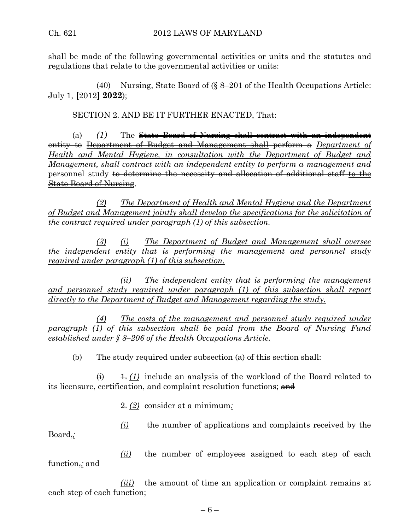shall be made of the following governmental activities or units and the statutes and regulations that relate to the governmental activities or units:

(40) Nursing, State Board of (§ 8–201 of the Health Occupations Article: July 1, **[**2012**] 2022**);

SECTION 2. AND BE IT FURTHER ENACTED, That:

(a) *(1)* The State Board of Nursing shall contract with an independent entity to Department of Budget and Management shall perform a *Department of Health and Mental Hygiene, in consultation with the Department of Budget and Management, shall contract with an independent entity to perform a management and* personnel study <del>to determine the necessity and allocation of additional staff to the</del> State Board of Nursing.

*(2) The Department of Health and Mental Hygiene and the Department of Budget and Management jointly shall develop the specifications for the solicitation of the contract required under paragraph (1) of this subsection.*

*(3) (i) The Department of Budget and Management shall oversee the independent entity that is performing the management and personnel study required under paragraph (1) of this subsection.*

*(ii) The independent entity that is performing the management and personnel study required under paragraph (1) of this subsection shall report directly to the Department of Budget and Management regarding the study.*

*(4) The costs of the management and personnel study required under paragraph (1) of this subsection shall be paid from the Board of Nursing Fund established under § 8–206 of the Health Occupations Article.*

(b) The study required under subsection (a) of this section shall:

 $\leftrightarrow$   $\downarrow$  (1) include an analysis of the workload of the Board related to its licensure, certification, and complaint resolution functions; and

2. *(2)* consider at a minimum*:*

*(i)* the number of applications and complaints received by the

Board,*;*

*(ii)* the number of employees assigned to each step of each function,*;* and

*(iii)* the amount of time an application or complaint remains at each step of each function;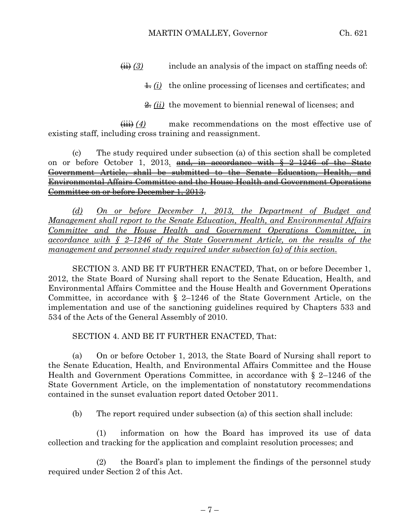$\overline{H}(3)$  include an analysis of the impact on staffing needs of:

 $\pm$  *(i)* the online processing of licenses and certificates; and

2. *(ii)* the movement to biennial renewal of licenses; and

 $\overleftrightarrow{\mathbf{(ii)}}$  *(4)* make recommendations on the most effective use of existing staff, including cross training and reassignment.

(c) The study required under subsection (a) of this section shall be completed on or before October 1, 2013*.* and, in accordance with § 2–1246 of the State Government Article, shall be submitted to the Senate Education, Health, and Environmental Affairs Committee and the House Health and Government Operations Committee on or before December 1, 2013.

*(d) On or before December 1, 2013, the Department of Budget and Management shall report to the Senate Education, Health, and Environmental Affairs Committee and the House Health and Government Operations Committee, in accordance with § 2–1246 of the State Government Article, on the results of the management and personnel study required under subsection (a) of this section.*

SECTION 3. AND BE IT FURTHER ENACTED, That, on or before December 1, 2012, the State Board of Nursing shall report to the Senate Education, Health, and Environmental Affairs Committee and the House Health and Government Operations Committee, in accordance with § 2–1246 of the State Government Article, on the implementation and use of the sanctioning guidelines required by Chapters 533 and 534 of the Acts of the General Assembly of 2010.

SECTION 4. AND BE IT FURTHER ENACTED, That:

(a) On or before October 1, 2013, the State Board of Nursing shall report to the Senate Education, Health, and Environmental Affairs Committee and the House Health and Government Operations Committee, in accordance with § 2–1246 of the State Government Article, on the implementation of nonstatutory recommendations contained in the sunset evaluation report dated October 2011.

(b) The report required under subsection (a) of this section shall include:

(1) information on how the Board has improved its use of data collection and tracking for the application and complaint resolution processes; and

(2) the Board's plan to implement the findings of the personnel study required under Section 2 of this Act.